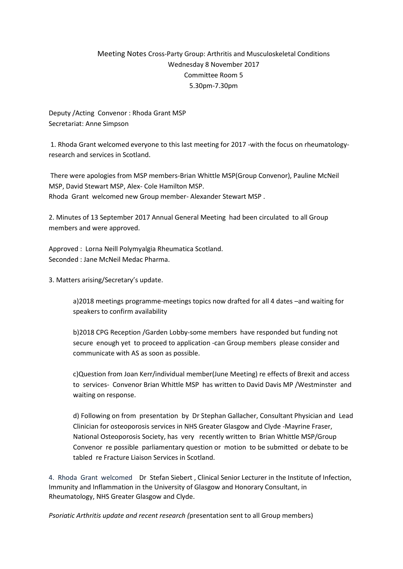# Meeting Notes Cross-Party Group: Arthritis and Musculoskeletal Conditions Wednesday 8 November 2017 Committee Room 5 5.30pm-7.30pm

Deputy /Acting Convenor : Rhoda Grant MSP Secretariat: Anne Simpson

1. Rhoda Grant welcomed everyone to this last meeting for 2017 -with the focus on rheumatologyresearch and services in Scotland.

There were apologies from MSP members-Brian Whittle MSP(Group Convenor), Pauline McNeil MSP, David Stewart MSP, Alex- Cole Hamilton MSP. Rhoda Grant welcomed new Group member- Alexander Stewart MSP .

2. Minutes of 13 September 2017 Annual General Meeting had been circulated to all Group members and were approved.

Approved : Lorna Neill Polymyalgia Rheumatica Scotland. Seconded : Jane McNeil Medac Pharma.

3. Matters arising/Secretary's update.

a)2018 meetings programme-meetings topics now drafted for all 4 dates –and waiting for speakers to confirm availability

b)2018 CPG Reception /Garden Lobby-some members have responded but funding not secure enough yet to proceed to application -can Group members please consider and communicate with AS as soon as possible.

c)Question from Joan Kerr/individual member(June Meeting) re effects of Brexit and access to services- Convenor Brian Whittle MSP has written to David Davis MP /Westminster and waiting on response.

d) Following on from presentation by Dr Stephan Gallacher, Consultant Physician and Lead Clinician for osteoporosis services in NHS Greater Glasgow and Clyde -Mayrine Fraser, National Osteoporosis Society, has very recently written to Brian Whittle MSP/Group Convenor re possible parliamentary question or motion to be submitted or debate to be tabled re Fracture Liaison Services in Scotland.

4. Rhoda Grant welcomed Dr Stefan Siebert , Clinical Senior Lecturer in the Institute of Infection, Immunity and Inflammation in the University of Glasgow and Honorary Consultant, in Rheumatology, NHS Greater Glasgow and Clyde.

*Psoriatic Arthritis update and recent research (*presentation sent to all Group members)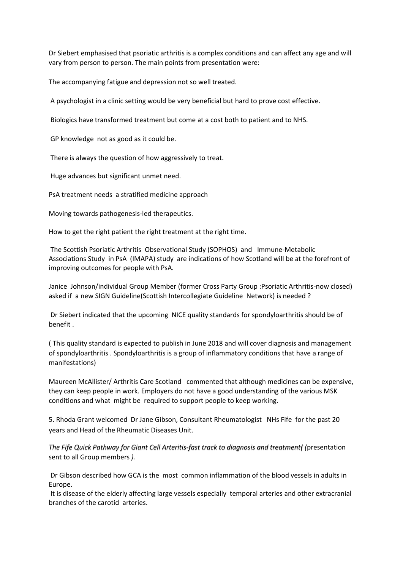Dr Siebert emphasised that psoriatic arthritis is a complex conditions and can affect any age and will vary from person to person. The main points from presentation were:

The accompanying fatigue and depression not so well treated.

A psychologist in a clinic setting would be very beneficial but hard to prove cost effective.

Biologics have transformed treatment but come at a cost both to patient and to NHS.

GP knowledge not as good as it could be.

There is always the question of how aggressively to treat.

Huge advances but significant unmet need.

PsA treatment needs a stratified medicine approach

Moving towards pathogenesis-led therapeutics.

How to get the right patient the right treatment at the right time.

The Scottish Psoriatic Arthritis Observational Study (SOPHOS) and Immune-Metabolic Associations Study in PsA (IMAPA) study are indications of how Scotland will be at the forefront of improving outcomes for people with PsA.

Janice Johnson/individual Group Member (former Cross Party Group :Psoriatic Arthritis-now closed) asked if a new SIGN Guideline(Scottish Intercollegiate Guideline Network) is needed ?

Dr Siebert indicated that the upcoming NICE quality standards for spondyloarthritis should be of benefit .

( This quality standard is expected to publish in June 2018 and will cover diagnosis and management of spondyloarthritis . Spondyloarthritis is a group of inflammatory conditions that have a range of manifestations)

Maureen McAllister/ Arthritis Care Scotland commented that although medicines can be expensive, they can keep people in work. Employers do not have a good understanding of the various MSK conditions and what might be required to support people to keep working.

5. Rhoda Grant welcomed Dr Jane Gibson, Consultant Rheumatologist NHs Fife for the past 20 years and Head of the Rheumatic Diseases Unit.

*The Fife Quick Pathway for Giant Cell Arteritis-fast track to diagnosis and treatment( (*presentation sent to all Group members *).*

Dr Gibson described how GCA is the most common inflammation of the blood vessels in adults in Europe.

It is disease of the elderly affecting large vessels especially temporal arteries and other extracranial branches of the carotid arteries.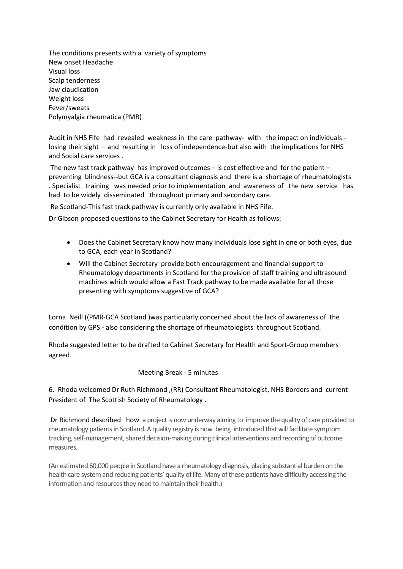The conditions presents with a variety of symptoms New onset Headache Visual loss Scalp tenderness Jaw claudication Weight loss Fever/sweats Polymyalgia rheumatica (PMR)

Audit in NHS Fife had revealed weakness in the care pathway- with the impact on individuals losing their sight – and resulting in loss of independence-but also with the implications for NHS and Social care services .

The new fast track pathway has improved outcomes – is cost effective and for the patient – preventing blindness--but GCA is a consultant diagnosis and there is a shortage of rheumatologists . Specialist training was needed prior to implementation and awareness of the new service has had to be widely disseminated throughout primary and secondary care.

Re Scotland-This fast track pathway is currently only available in NHS Fife.

Dr Gibson proposed questions to the Cabinet Secretary for Health as follows:

- Does the Cabinet Secretary know how many individuals lose sight in one or both eyes, due to GCA, each year in Scotland?
- Will the Cabinet Secretary provide both encouragement and financial support to Rheumatology departments in Scotland for the provision of staff training and ultrasound machines which would allow a Fast Track pathway to be made available for all those presenting with symptoms suggestive of GCA?

Lorna Neill ((PMR-GCA Scotland )was particularly concerned about the lack of awareness of the condition by GPS - also considering the shortage of rheumatologists throughout Scotland.

Rhoda suggested letter to be drafted to Cabinet Secretary for Health and Sport-Group members agreed.

### Meeting Break - 5 minutes

## 6. Rhoda welcomed Dr Ruth Richmond ,(RR) Consultant Rheumatologist, NHS Borders and current President of The Scottish Society of Rheumatology .

Dr Richmond described how a project is now underway aiming to improve the quality of care provided to rheumatology patients in Scotland. A quality registry is now being introduced that will facilitate symptom tracking, self-management, shared decision-making during clinical interventions and recording of outcome measures.

(An estimated 60,000 people in Scotland have a rheumatology diagnosis, placing substantial burden on the health care system and reducing patients' quality of life. Many of these patients have difficulty accessing the information and resources they need to maintain their health.)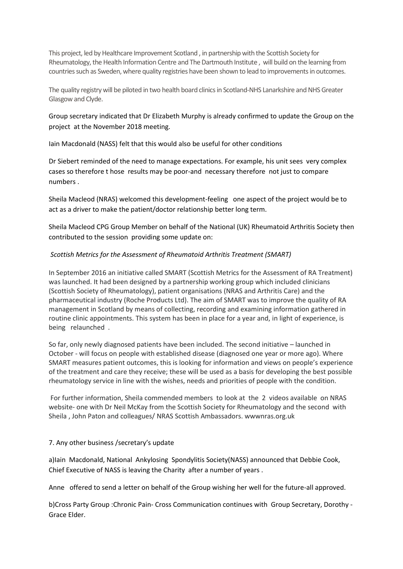This project, led by Healthcare Improvement Scotland , in partnership with the Scottish Society for Rheumatology, the Health Information Centre and The Dartmouth Institute , will build on the learning from countries such as Sweden, where quality registries have been shown to lead to improvements in outcomes.

The quality registry will be piloted in two health board clinics in Scotland-NHS Lanarkshire and NHS Greater Glasgow and Clyde.

Group secretary indicated that Dr Elizabeth Murphy is already confirmed to update the Group on the project at the November 2018 meeting.

Iain Macdonald (NASS) felt that this would also be useful for other conditions

Dr Siebert reminded of the need to manage expectations. For example, his unit sees very complex cases so therefore t hose results may be poor-and necessary therefore not just to compare numbers .

Sheila Macleod (NRAS) welcomed this development-feeling one aspect of the project would be to act as a driver to make the patient/doctor relationship better long term.

Sheila Macleod CPG Group Member on behalf of the National (UK) Rheumatoid Arthritis Society then contributed to the session providing some update on:

### *Scottish Metrics for the Assessment of Rheumatoid Arthritis Treatment (SMART)*

In September 2016 an initiative called SMART (Scottish Metrics for the Assessment of RA Treatment) was launched. It had been designed by a partnership working group which included clinicians (Scottish Society of Rheumatology), patient organisations (NRAS and Arthritis Care) and the pharmaceutical industry (Roche Products Ltd). The aim of SMART was to improve the quality of RA management in Scotland by means of collecting, recording and examining information gathered in routine clinic appointments. This system has been in place for a year and, in light of experience, is being relaunched .

So far, only newly diagnosed patients have been included. The second initiative – launched in October - will focus on people with established disease (diagnosed one year or more ago). Where SMART measures patient outcomes, this is looking for information and views on people's experience of the treatment and care they receive; these will be used as a basis for developing the best possible rheumatology service in line with the wishes, needs and priorities of people with the condition.

For further information, Sheila commended members to look at the 2 videos available on NRAS website- one with Dr Neil McKay from the Scottish Society for Rheumatology and the second with Sheila , John Paton and colleagues/ NRAS Scottish Ambassadors. wwwnras.org.uk

### 7. Any other business /secretary's update

a)Iain Macdonald, National Ankylosing Spondylitis Society(NASS) announced that Debbie Cook, Chief Executive of NASS is leaving the Charity after a number of years .

Anne offered to send a letter on behalf of the Group wishing her well for the future-all approved.

b)Cross Party Group :Chronic Pain- Cross Communication continues with Group Secretary, Dorothy - Grace Elder.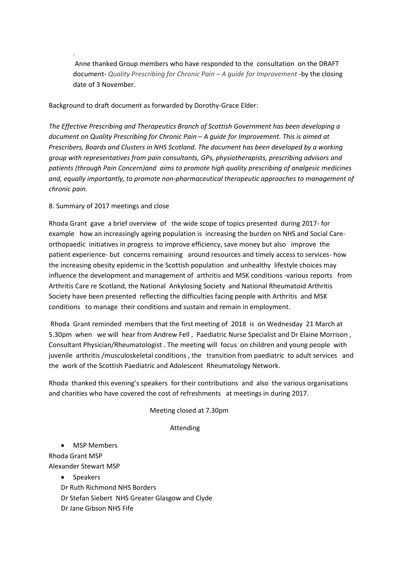Anne thanked Group members who have responded to the consultation on the DRAFT document- *Quality Prescribing for Chronic Pain – A guide for Improvement -*by the closing date of 3 November.

Background to draft document as forwarded by Dorothy-Grace Elder:

*The Effective Prescribing and Therapeutics Branch of Scottish Government has been developing a document on Quality Prescribing for Chronic Pain – A guide for Improvement. This is aimed at Prescribers, Boards and Clusters in NHS Scotland. The document has been developed by a working group with representatives from pain consultants, GPs, physiotherapists, prescribing advisors and patients (through Pain Concern)and aims to promote high quality prescribing of analgesic medicines and, equally importantly, to promote non-pharmaceutical therapeutic approaches to management of chronic pain.*

#### 8. Summary of 2017 meetings and close

.

Rhoda Grant gave a brief overview of the wide scope of topics presented during 2017- for example how an increasingly ageing population is increasing the burden on NHS and Social Careorthopaedic initiatives in progress to improve efficiency, save money but also improve the patient experience- but concerns remaining around resources and timely access to services- how the increasing obesity epidemic in the Scottish population and unhealthy lifestyle choices may influence the development and management of arthritis and MSK conditions -various reports from Arthritis Care re Scotland, the National Ankylosing Society and National Rheumatoid Arthritis Society have been presented reflecting the difficulties facing people with Arthritis and MSK conditions to manage their conditions and sustain and remain in employment.

Rhoda Grant reminded members that the first meeting of 2018 is on Wednesday 21 March at 5.30pm when we will hear from Andrew Fell , Paediatric Nurse Specialist and Dr Elaine Morrison , Consultant Physician/Rheumatologist . The meeting will focus on children and young people with juvenile arthritis /musculoskeletal conditions , the transition from paediatric to adult services and the work of the Scottish Paediatric and Adolescent Rheumatology Network.

Rhoda thanked this evening's speakers for their contributions and also the various organisations and charities who have covered the cost of refreshments at meetings in during 2017.

Meeting closed at 7.30pm

#### Attending

• MSP Members Rhoda Grant MSP Alexander Stewart MSP

- Speakers
- Dr Ruth Richmond NHS Borders
- Dr Stefan Siebert NHS Greater Glasgow and Clyde
- Dr Jane Gibson NHS Fife